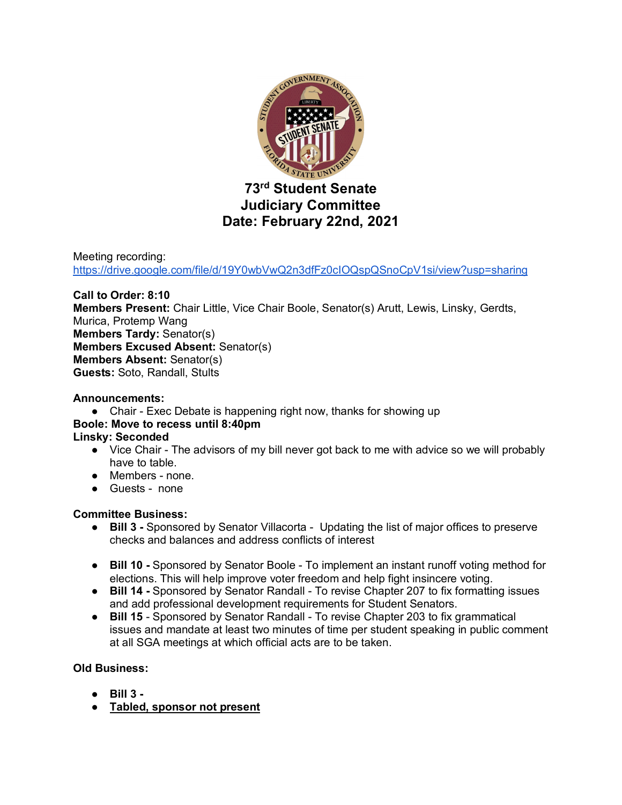

## **Judiciary Committee Date: February 22nd, 2021**

Meeting recording: https://drive.google.com/file/d/19Y0wbVwQ2n3dfFz0cIOQspQSnoCpV1si/view?usp=sharing

#### **Call to Order: 8:10**

**Members Present:** Chair Little, Vice Chair Boole, Senator(s) Arutt, Lewis, Linsky, Gerdts, Murica, Protemp Wang **Members Tardy:** Senator(s) **Members Excused Absent:** Senator(s) **Members Absent:** Senator(s) **Guests:** Soto, Randall, Stults

#### **Announcements:**

● Chair - Exec Debate is happening right now, thanks for showing up

### **Boole: Move to recess until 8:40pm**

- **Linsky: Seconded** 
	- Vice Chair The advisors of my bill never got back to me with advice so we will probably have to table.
	- Members none.
	- Guests none

#### **Committee Business:**

- **Bill 3 -** Sponsored by Senator Villacorta Updating the list of major offices to preserve checks and balances and address conflicts of interest
- **Bill 10 -** Sponsored by Senator Boole To implement an instant runoff voting method for elections. This will help improve voter freedom and help fight insincere voting.
- **Bill 14** Sponsored by Senator Randall To revise Chapter 207 to fix formatting issues and add professional development requirements for Student Senators.
- **Bill 15** Sponsored by Senator Randall To revise Chapter 203 to fix grammatical issues and mandate at least two minutes of time per student speaking in public comment at all SGA meetings at which official acts are to be taken.

#### **Old Business:**

- **Bill 3 -**
- **Tabled, sponsor not present**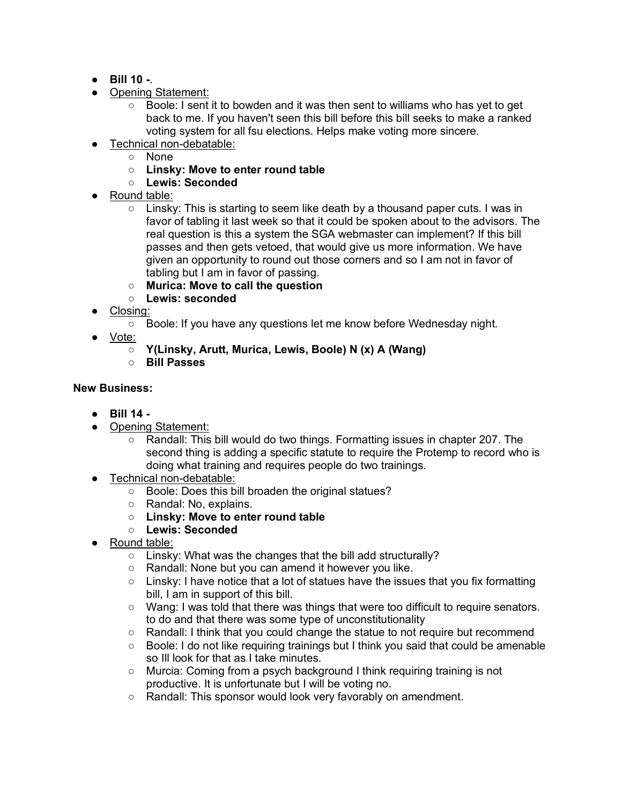- **Bill 10 -**.
- Opening Statement:
	- Boole: I sent it to bowden and it was then sent to williams who has yet to get back to me. If you haven't seen this bill before this bill seeks to make a ranked voting system for all fsu elections. Helps make voting more sincere.
- Technical non-debatable:
	- None
	- **Linsky: Move to enter round table**
	- **Lewis: Seconded**
- Round table:
	- $\circ$  Linsky: This is starting to seem like death by a thousand paper cuts. I was in favor of tabling it last week so that it could be spoken about to the advisors. The real question is this a system the SGA webmaster can implement? If this bill passes and then gets vetoed, that would give us more information. We have given an opportunity to round out those corners and so I am not in favor of tabling but I am in favor of passing.
	- **Murica: Move to call the question**
	- **Lewis: seconded**
- Closing:
	- Boole: If you have any questions let me know before Wednesday night.
- Vote:
	- **Y(Linsky, Arutt, Murica, Lewis, Boole) N (x) A (Wang)**
	- **Bill Passes**

#### **New Business:**

- **Bill 14 -**
- Opening Statement:
	- Randall: This bill would do two things. Formatting issues in chapter 207. The second thing is adding a specific statute to require the Protemp to record who is doing what training and requires people do two trainings.
- Technical non-debatable:
	- Boole: Does this bill broaden the original statues?
	- Randal: No, explains.
	- **Linsky: Move to enter round table**
	- **Lewis: Seconded**
- Round table:
	- Linsky: What was the changes that the bill add structurally?
	- Randall: None but you can amend it however you like.
	- Linsky: I have notice that a lot of statues have the issues that you fix formatting bill, I am in support of this bill.
	- Wang: I was told that there was things that were too difficult to require senators. to do and that there was some type of unconstitutionality
	- Randall: I think that you could change the statue to not require but recommend
	- $\circ$  Boole: I do not like requiring trainings but I think you said that could be amenable so Ill look for that as I take minutes.
	- Murcia: Coming from a psych background I think requiring training is not productive. It is unfortunate but I will be voting no.
	- Randall: This sponsor would look very favorably on amendment.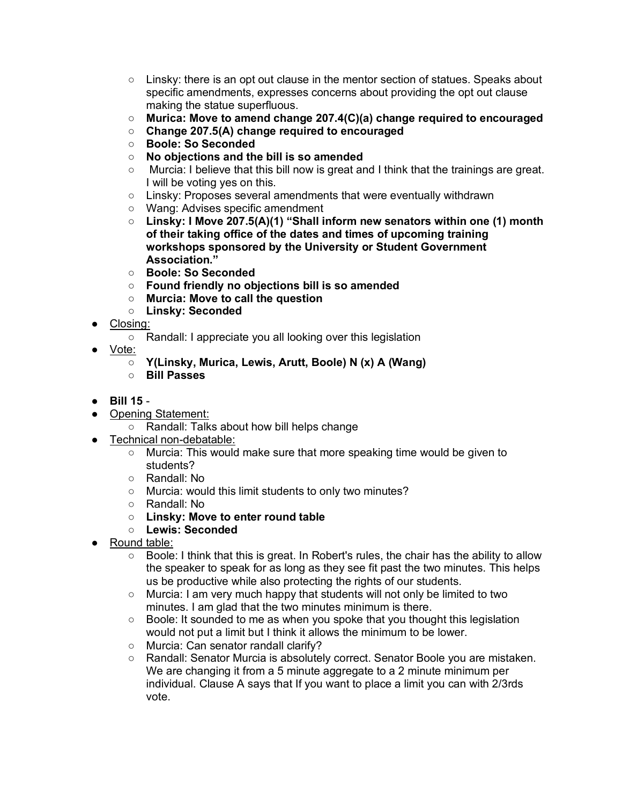- $\circ$  Linsky: there is an opt out clause in the mentor section of statues. Speaks about specific amendments, expresses concerns about providing the opt out clause making the statue superfluous.
- **Murica: Move to amend change 207.4(C)(a) change required to encouraged**
- **Change 207.5(A) change required to encouraged**
- **Boole: So Seconded**
- **No objections and the bill is so amended**
- $\circ$  Murcia: I believe that this bill now is great and I think that the trainings are great. I will be voting yes on this.
- Linsky: Proposes several amendments that were eventually withdrawn
- Wang: Advises specific amendment
- **Linsky: I Move 207.5(A)(1) "Shall inform new senators within one (1) month of their taking office of the dates and times of upcoming training workshops sponsored by the University or Student Government Association."**
- **Boole: So Seconded**
- **Found friendly no objections bill is so amended**
- **Murcia: Move to call the question**
- **Linsky: Seconded**
- Closing:
	- Randall: I appreciate you all looking over this legislation
- Vote:
	- **Y(Linsky, Murica, Lewis, Arutt, Boole) N (x) A (Wang)**
	- **Bill Passes**
- **Bill 15** -
- Opening Statement:
	- Randall: Talks about how bill helps change
- Technical non-debatable:
	- Murcia: This would make sure that more speaking time would be given to students?
	- Randall: No
	- Murcia: would this limit students to only two minutes?
	- Randall: No
	- **Linsky: Move to enter round table**
	- **Lewis: Seconded**
- Round table:
	- $\circ$  Boole: I think that this is great. In Robert's rules, the chair has the ability to allow the speaker to speak for as long as they see fit past the two minutes. This helps us be productive while also protecting the rights of our students.
	- Murcia: I am very much happy that students will not only be limited to two minutes. I am glad that the two minutes minimum is there.
	- $\circ$  Boole: It sounded to me as when you spoke that you thought this legislation would not put a limit but I think it allows the minimum to be lower.
	- Murcia: Can senator randall clarify?
	- Randall: Senator Murcia is absolutely correct. Senator Boole you are mistaken. We are changing it from a 5 minute aggregate to a 2 minute minimum per individual. Clause A says that If you want to place a limit you can with 2/3rds vote.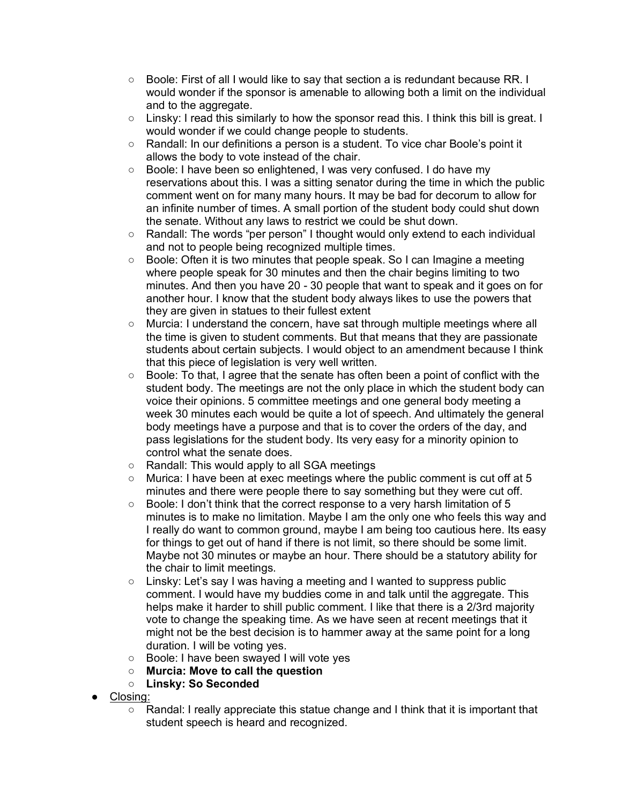- $\circ$  Boole: First of all I would like to say that section a is redundant because RR. I would wonder if the sponsor is amenable to allowing both a limit on the individual and to the aggregate.
- Linsky: I read this similarly to how the sponsor read this. I think this bill is great. I would wonder if we could change people to students.
- Randall: In our definitions a person is a student. To vice char Boole's point it allows the body to vote instead of the chair.
- Boole: I have been so enlightened, I was very confused. I do have my reservations about this. I was a sitting senator during the time in which the public comment went on for many many hours. It may be bad for decorum to allow for an infinite number of times. A small portion of the student body could shut down the senate. Without any laws to restrict we could be shut down.
- Randall: The words "per person" I thought would only extend to each individual and not to people being recognized multiple times.
- Boole: Often it is two minutes that people speak. So I can Imagine a meeting where people speak for 30 minutes and then the chair begins limiting to two minutes. And then you have 20 - 30 people that want to speak and it goes on for another hour. I know that the student body always likes to use the powers that they are given in statues to their fullest extent
- Murcia: I understand the concern, have sat through multiple meetings where all the time is given to student comments. But that means that they are passionate students about certain subjects. I would object to an amendment because I think that this piece of legislation is very well written.
- Boole: To that, I agree that the senate has often been a point of conflict with the student body. The meetings are not the only place in which the student body can voice their opinions. 5 committee meetings and one general body meeting a week 30 minutes each would be quite a lot of speech. And ultimately the general body meetings have a purpose and that is to cover the orders of the day, and pass legislations for the student body. Its very easy for a minority opinion to control what the senate does.
- Randall: This would apply to all SGA meetings
- Murica: I have been at exec meetings where the public comment is cut off at 5 minutes and there were people there to say something but they were cut off.
- Boole: I don't think that the correct response to a very harsh limitation of 5 minutes is to make no limitation. Maybe I am the only one who feels this way and I really do want to common ground, maybe I am being too cautious here. Its easy for things to get out of hand if there is not limit, so there should be some limit. Maybe not 30 minutes or maybe an hour. There should be a statutory ability for the chair to limit meetings.
- Linsky: Let's say I was having a meeting and I wanted to suppress public comment. I would have my buddies come in and talk until the aggregate. This helps make it harder to shill public comment. I like that there is a 2/3rd majority vote to change the speaking time. As we have seen at recent meetings that it might not be the best decision is to hammer away at the same point for a long duration. I will be voting yes.
- Boole: I have been swayed I will vote yes
- **Murcia: Move to call the question**
- **Linsky: So Seconded**
- Closing:
	- Randal: I really appreciate this statue change and I think that it is important that student speech is heard and recognized.